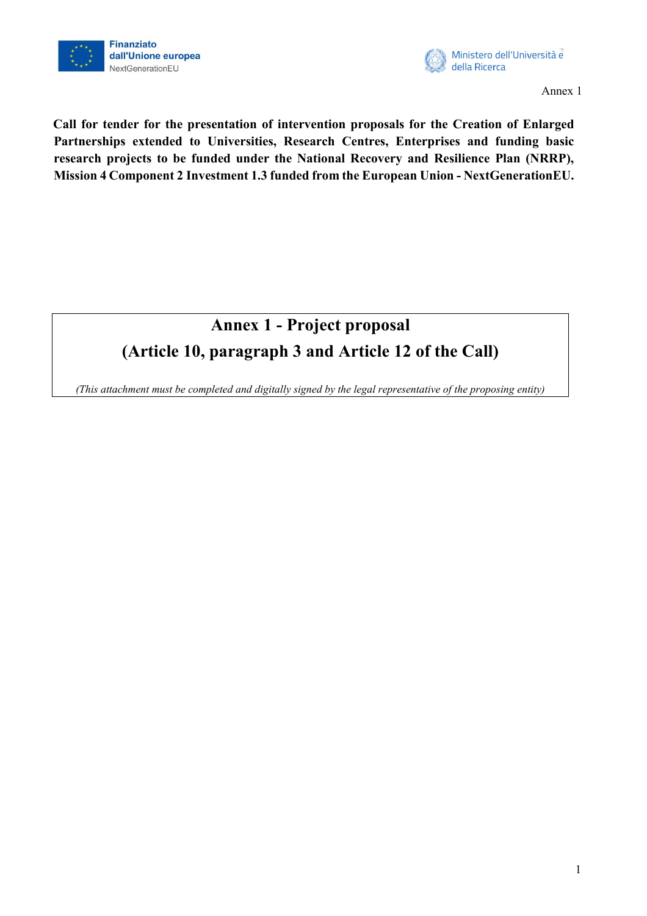



**Call for tender for the presentation of intervention proposals for the Creation of Enlarged Partnerships extended to Universities, Research Centres, Enterprises and funding basic research projects to be funded under the National Recovery and Resilience Plan (NRRP), Mission 4 Component 2 Investment 1.3 funded from the European Union - NextGenerationEU.**

# **Annex 1 - Project proposal (Article 10, paragraph 3 and Article 12 of the Call)**

*(This attachment must be completed and digitally signed by the legal representative of the proposing entity)*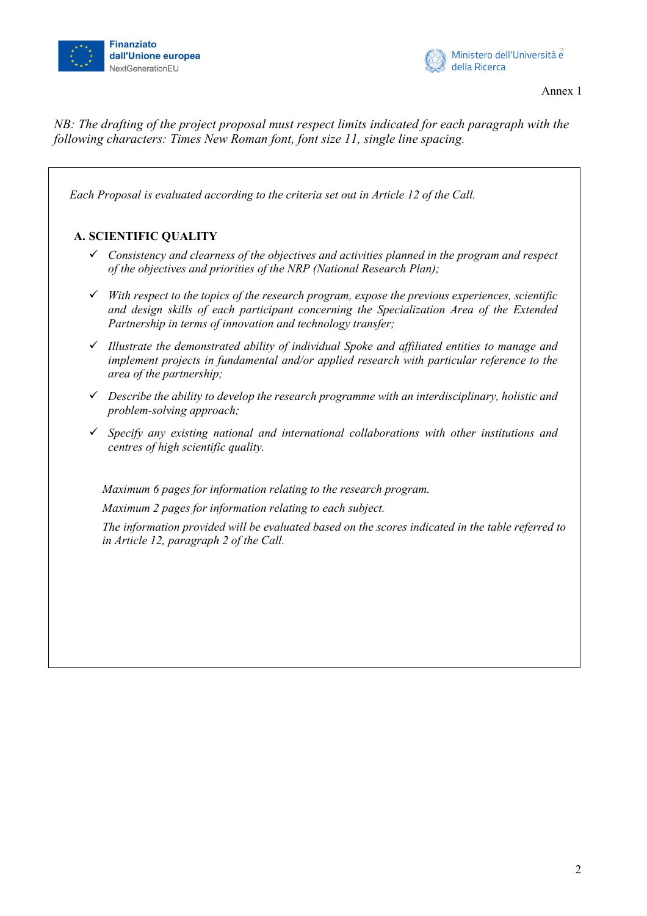



*NB: The drafting of the project proposal must respect limits indicated for each paragraph with the following characters: Times New Roman font, font size 11, single line spacing.*

*Each Proposal is evaluated according to the criteria set out in Article 12 of the Call.* 

## **A. SCIENTIFIC QUALITY**

- *Consistency and clearness of the objectives and activities planned in the program and respect of the objectives and priorities of the NRP (National Research Plan);*
- *With respect to the topics of the research program, expose the previous experiences, scientific and design skills of each participant concerning the Specialization Area of the Extended Partnership in terms of innovation and technology transfer;*
- *Illustrate the demonstrated ability of individual Spoke and affiliated entities to manage and implement projects in fundamental and/or applied research with particular reference to the area of the partnership;*
- *Describe the ability to develop the research programme with an interdisciplinary, holistic and problem-solving approach;*
- *Specify any existing national and international collaborations with other institutions and centres of high scientific quality.*

*Maximum 6 pages for information relating to the research program.*

*Maximum 2 pages for information relating to each subject.*

*The information provided will be evaluated based on the scores indicated in the table referred to in Article 12, paragraph 2 of the Call.*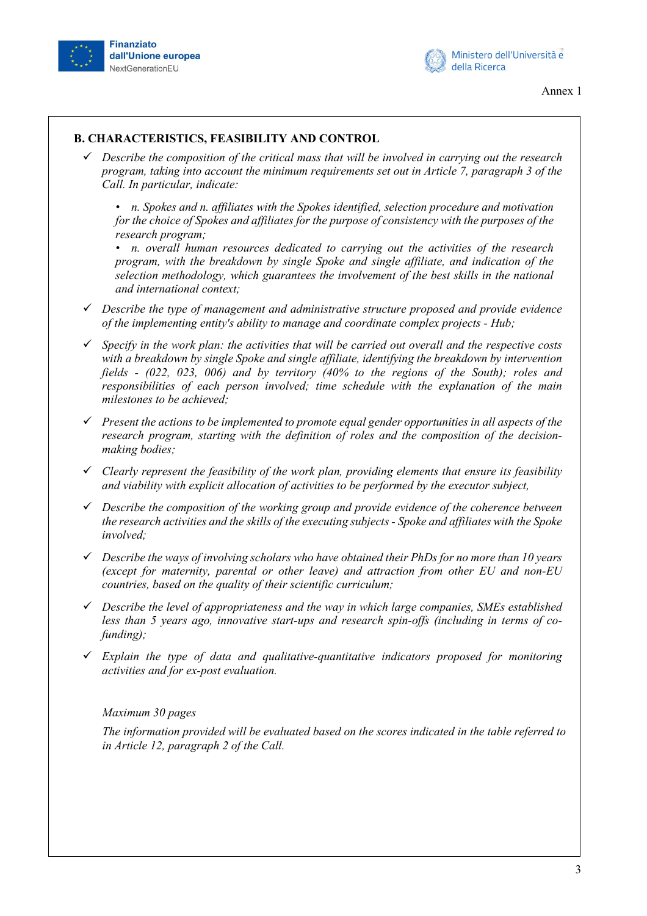



#### **B. CHARACTERISTICS, FEASIBILITY AND CONTROL**

 *Describe the composition of the critical mass that will be involved in carrying out the research program, taking into account the minimum requirements set out in Article 7, paragraph 3 of the Call. In particular, indicate:* 

*• n. Spokes and n. affiliates with the Spokes identified, selection procedure and motivation for the choice of Spokes and affiliates for the purpose of consistency with the purposes of the research program;* 

*• n. overall human resources dedicated to carrying out the activities of the research program, with the breakdown by single Spoke and single affiliate, and indication of the selection methodology, which guarantees the involvement of the best skills in the national and international context;* 

- *Describe the type of management and administrative structure proposed and provide evidence of the implementing entity's ability to manage and coordinate complex projects - Hub;*
- *Specify in the work plan: the activities that will be carried out overall and the respective costs with a breakdown by single Spoke and single affiliate, identifying the breakdown by intervention fields - (022, 023, 006) and by territory (40% to the regions of the South); roles and responsibilities of each person involved; time schedule with the explanation of the main milestones to be achieved;*
- *Present the actions to be implemented to promote equal gender opportunities in all aspects of the research program, starting with the definition of roles and the composition of the decisionmaking bodies;*
- *Clearly represent the feasibility of the work plan, providing elements that ensure its feasibility and viability with explicit allocation of activities to be performed by the executor subject,*
- *Describe the composition of the working group and provide evidence of the coherence between the research activities and the skills of the executing subjects - Spoke and affiliates with the Spoke involved;*
- *Describe the ways of involving scholars who have obtained their PhDs for no more than 10 years (except for maternity, parental or other leave) and attraction from other EU and non-EU countries, based on the quality of their scientific curriculum;*
- *Describe the level of appropriateness and the way in which large companies, SMEs established less than 5 years ago, innovative start-ups and research spin-offs (including in terms of cofunding);*
- *Explain the type of data and qualitative-quantitative indicators proposed for monitoring activities and for ex-post evaluation.*

#### *Maximum 30 pages*

*The information provided will be evaluated based on the scores indicated in the table referred to in Article 12, paragraph 2 of the Call.*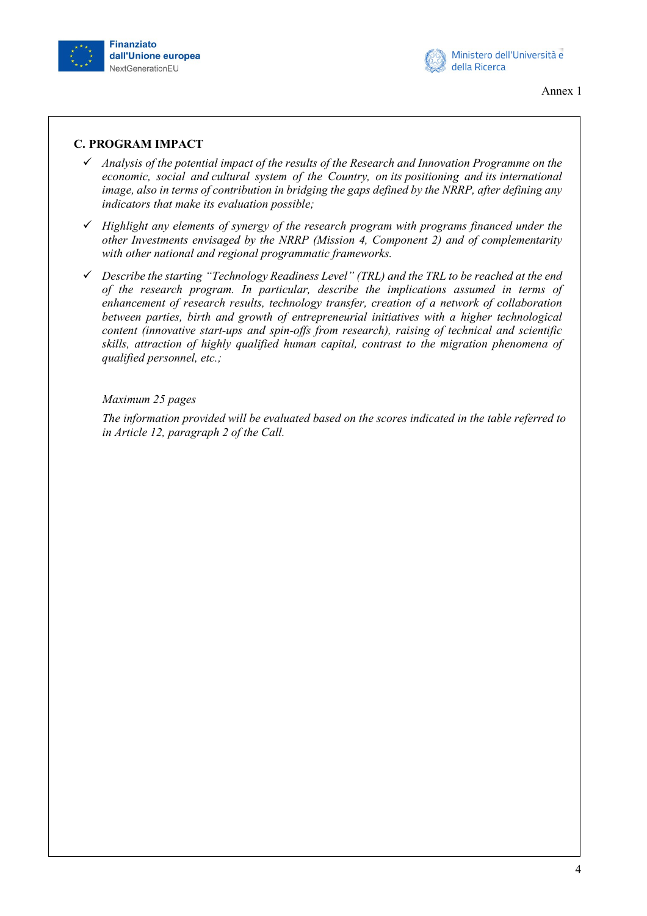



Annex 1

## **C. PROGRAM IMPACT**

- *Analysis of the potential impact of the results of the Research and Innovation Programme on the economic, social and cultural system of the Country, on its positioning and its international image, also in terms of contribution in bridging the gaps defined by the NRRP, after defining any indicators that make its evaluation possible;*
- *Highlight any elements of synergy of the research program with programs financed under the other Investments envisaged by the NRRP (Mission 4, Component 2) and of complementarity with other national and regional programmatic frameworks.*
- *Describe the starting "Technology Readiness Level" (TRL) and the TRL to be reached at the end of the research program. In particular, describe the implications assumed in terms of enhancement of research results, technology transfer, creation of a network of collaboration between parties, birth and growth of entrepreneurial initiatives with a higher technological content (innovative start-ups and spin-offs from research), raising of technical and scientific skills, attraction of highly qualified human capital, contrast to the migration phenomena of qualified personnel, etc.;*

## *Maximum 25 pages*

*The information provided will be evaluated based on the scores indicated in the table referred to in Article 12, paragraph 2 of the Call.*